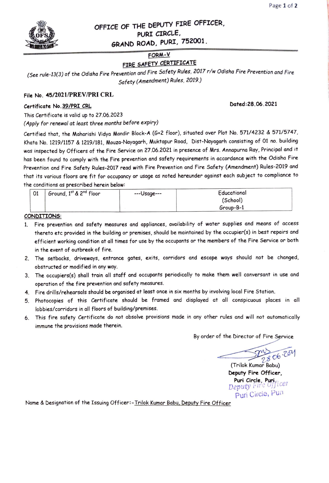

## OFFICE OF THE DEPUTY FIRE OFFICER, PURI CIRCLE, GRAND ROAD, PURI, 752001.

### FORM-V

# FIRE SAFETY CERTIFICATE

(See rule-13(3) of the Odisha Fire Prevention and Fire Safety Rules, 2017 r/w Odisha Fire Prevention and Fire Safety (Amendment) Rules, 2019.)

#### File No. 45/2021/PREV/PRI CRL

### Certificate No. 39/PRI CRL COMPOUND CONTROL CONTROL CONTROL CONTROL CONTROL CONTROL CONTROL CONTROL CONTROL CONTROL CONTROL CONTROL CONTROL CONTROL CONTROL CONTROL CONTROL CONTROL CONTROL CONTROL CONTROL CONTROL CONTROL CO

This Certificate is valid up to 27.06.2023

(Apply for renewal at least three months before expiry)

Certified that, the Maharishi Vidya Mandir Block-A (G+2 floor), situated over Plot No. 571/4232 & 571/5747, Khata No. 1219/1157 & 1219/181, Mouza-Nayagarh, Muktapur Road, Dist-Nayagarh consisting of 01 no. building was inspected by Officers of the Fire Service on 27.06.2021 in presence of Mrs. Annapurna Ray, Principal and it has been found to comply with the Fire prevention and safety requirements in accordance with the Odisha Fire Prevention and Fire Safety Rules-2017 read with Fire Prevention and Fire Safety (Amendment) Rules-2019 and that its various floors are fit for occupancy or usage as noted hereunder against each subject to compliance to the conditions as prescribed herein below:

| 01 | Ground, 1st & 2 <sup>nd</sup> floor | $--Usage--$ | Educational |  |
|----|-------------------------------------|-------------|-------------|--|
|    |                                     |             | (School)    |  |
|    |                                     |             | Group-B-1   |  |

#### CONDITIONS:

- 1. Fire prevention and safety measures and appliances, availability of water supplies and means of access thereto etc provided in the building or premises, should be maintained by the occupier(s) in best repairs and efficient working condition at all times for use by the occupants or the members of the Fire Service or both in the event of outbreak of fire.
- 2. The setbacks, driveways, entrance gates, exits, corridors and escape ways should not be changed, obstructed or modified in any way.
- 3. The occupiers(s) shall train all staff and occupants periodically to make them well conversant in use and operation of the fire prevention and safety measures.
- 4 Fire drills/rehearsals should be organised at least once in six months by involving local Fire Station.
- 5 Photocopies of this Certificate should be framed and displayed at all conspicuous places in all lobbies/corridors in all floors of building/premises
- 6. This fire safety Certificate do not absolve provisions made in any other rules and will not automatically immune the provisions made therein.

By order of the Director of Fire Service

28 06.204

(Trilok Kumar Babu) Deputy Fire Officer, Puri Circle, Puri<br>enuty Fire Officer Deputy irre  $\sigma$ Puri Circle, Puin

Name & Designation of the Issuing Officer:-Trilok Kumar Babu, Deputy Fire Officer